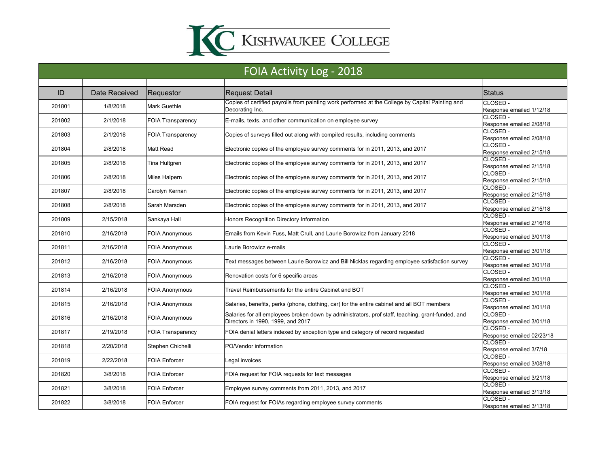

| FOIA Activity Log - 2018 |               |                          |                                                                                                                                        |                                      |
|--------------------------|---------------|--------------------------|----------------------------------------------------------------------------------------------------------------------------------------|--------------------------------------|
|                          |               |                          |                                                                                                                                        |                                      |
| ID                       | Date Received | Requestor                | <b>Request Detail</b>                                                                                                                  | <b>Status</b>                        |
| 201801                   | 1/8/2018      | <b>Mark Guethle</b>      | Copies of certified payrolls from painting work performed at the College by Capital Painting and<br>Decorating Inc.                    | CLOSED -<br>Response emailed 1/12/18 |
| 201802                   | 2/1/2018      | <b>FOIA Transparency</b> | E-mails, texts, and other communication on employee survey                                                                             | CLOSED -<br>Response emailed 2/08/18 |
| 201803                   | 2/1/2018      | <b>FOIA Transparency</b> | Copies of surveys filled out along with compiled results, including comments                                                           | CLOSED -<br>Response emailed 2/08/18 |
| 201804                   | 2/8/2018      | <b>Matt Read</b>         | Electronic copies of the employee survey comments for in 2011, 2013, and 2017                                                          | CLOSED -<br>Response emailed 2/15/18 |
| 201805                   | 2/8/2018      | Tina Hultgren            | Electronic copies of the employee survey comments for in 2011, 2013, and 2017                                                          | CLOSED -<br>Response emailed 2/15/18 |
| 201806                   | 2/8/2018      | Miles Halpern            | Electronic copies of the employee survey comments for in 2011, 2013, and 2017                                                          | CLOSED-<br>Response emailed 2/15/18  |
| 201807                   | 2/8/2018      | Carolyn Kernan           | Electronic copies of the employee survey comments for in 2011, 2013, and 2017                                                          | CLOSED-<br>Response emailed 2/15/18  |
| 201808                   | 2/8/2018      | Sarah Marsden            | Electronic copies of the employee survey comments for in 2011, 2013, and 2017                                                          | CLOSED-<br>Response emailed 2/15/18  |
| 201809                   | 2/15/2018     | Sankaya Hall             | Honors Recognition Directory Information                                                                                               | CLOSED -<br>Response emailed 2/16/18 |
| 201810                   | 2/16/2018     | <b>FOIA Anonymous</b>    | Emails from Kevin Fuss, Matt Crull, and Laurie Borowicz from January 2018                                                              | CLOSED-<br>Response emailed 3/01/18  |
| 201811                   | 2/16/2018     | <b>FOIA Anonymous</b>    | Laurie Borowicz e-mails                                                                                                                | CLOSED-<br>Response emailed 3/01/18  |
| 201812                   | 2/16/2018     | <b>FOIA Anonymous</b>    | Text messages between Laurie Borowicz and Bill Nicklas regarding employee satisfaction survey                                          | CLOSED -<br>Response emailed 3/01/18 |
| 201813                   | 2/16/2018     | <b>FOIA Anonymous</b>    | Renovation costs for 6 specific areas                                                                                                  | CLOSED -<br>Response emailed 3/01/18 |
| 201814                   | 2/16/2018     | <b>FOIA Anonymous</b>    | Travel Reimbursements for the entire Cabinet and BOT                                                                                   | CLOSED -<br>Response emailed 3/01/18 |
| 201815                   | 2/16/2018     | <b>FOIA Anonymous</b>    | Salaries, benefits, perks (phone, clothing, car) for the entire cabinet and all BOT members                                            | CLOSED-<br>Response emailed 3/01/18  |
| 201816                   | 2/16/2018     | <b>FOIA Anonymous</b>    | Salaries for all employees broken down by administrators, prof staff, teaching, grant-funded, and<br>Directors in 1990, 1999, and 2017 | CLOSED -<br>Response emailed 3/01/18 |
| 201817                   | 2/19/2018     | <b>FOIA Transparency</b> | FOIA denial letters indexed by exception type and category of record requested                                                         | CLOSED-<br>Response emailed 02/23/18 |
| 201818                   | 2/20/2018     | Stephen Chichelli        | PO/Vendor information                                                                                                                  | CLOSED-<br>Response emailed 3/7/18   |
| 201819                   | 2/22/2018     | <b>FOIA Enforcer</b>     | eqal invoices                                                                                                                          | CLOSED -<br>Response emailed 3/08/18 |
| 201820                   | 3/8/2018      | FOIA Enforcer            | FOIA request for FOIA requests for text messages                                                                                       | CLOSED -<br>Response emailed 3/21/18 |
| 201821                   | 3/8/2018      | <b>FOIA Enforcer</b>     | Employee survey comments from 2011, 2013, and 2017                                                                                     | CLOSED -<br>Response emailed 3/13/18 |
| 201822                   | 3/8/2018      | <b>FOIA Enforcer</b>     | FOIA request for FOIAs regarding employee survey comments                                                                              | CLOSED -<br>Response emailed 3/13/18 |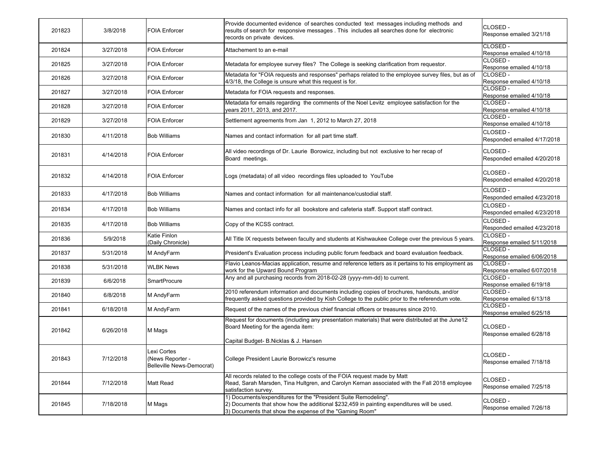| 201823 | 3/8/2018  | <b>FOIA Enforcer</b>                                        | Provide documented evidence of searches conducted text messages including methods and<br>results of search for responsive messages. This includes all searches done for electronic<br>records on private devices.         | CLOSED -<br>Response emailed 3/21/18    |
|--------|-----------|-------------------------------------------------------------|---------------------------------------------------------------------------------------------------------------------------------------------------------------------------------------------------------------------------|-----------------------------------------|
| 201824 | 3/27/2018 | <b>FOIA Enforcer</b>                                        | Attachement to an e-mail                                                                                                                                                                                                  | CLOSED -<br>Response emailed 4/10/18    |
| 201825 | 3/27/2018 | <b>FOIA Enforcer</b>                                        | Metadata for employee survey files? The College is seeking clarification from requestor.                                                                                                                                  | CLOSED -<br>Response emailed 4/10/18    |
| 201826 | 3/27/2018 | FOIA Enforcer                                               | Metadata for "FOIA requests and responses" perhaps related to the employee survey files, but as of<br>4/3/18, the College is unsure what this request is for.                                                             | CLOSED -<br>Response emailed 4/10/18    |
| 201827 | 3/27/2018 | <b>FOIA Enforcer</b>                                        | Metadata for FOIA requests and responses.                                                                                                                                                                                 | CLOSED -<br>Response emailed 4/10/18    |
| 201828 | 3/27/2018 | <b>FOIA Enforcer</b>                                        | Metadata for emails regarding the comments of the Noel Levitz employee satisfaction for the<br>years 2011, 2013, and 2017.                                                                                                | CLOSED -<br>Response emailed 4/10/18    |
| 201829 | 3/27/2018 | FOIA Enforcer                                               | Settlement agreements from Jan 1, 2012 to March 27, 2018                                                                                                                                                                  | CLOSED -<br>Response emailed 4/10/18    |
| 201830 | 4/11/2018 | <b>Bob Williams</b>                                         | Names and contact information for all part time staff.                                                                                                                                                                    | CLOSED -<br>Responded emailed 4/17/2018 |
| 201831 | 4/14/2018 | <b>FOIA Enforcer</b>                                        | All video recordings of Dr. Laurie Borowicz, including but not exclusive to her recap of<br>Board meetings.                                                                                                               | CLOSED -<br>Responded emailed 4/20/2018 |
| 201832 | 4/14/2018 | <b>FOIA Enforcer</b>                                        | Logs (metadata) of all video recordings files uploaded to YouTube                                                                                                                                                         | CLOSED -<br>Responded emailed 4/20/2018 |
| 201833 | 4/17/2018 | <b>Bob Williams</b>                                         | Names and contact information for all maintenance/custodial staff.                                                                                                                                                        | CLOSED-<br>Responded emailed 4/23/2018  |
| 201834 | 4/17/2018 | <b>Bob Williams</b>                                         | Names and contact info for all bookstore and cafeteria staff. Support staff contract.                                                                                                                                     | CLOSED -<br>Responded emailed 4/23/2018 |
| 201835 | 4/17/2018 | <b>Bob Williams</b>                                         | Copy of the KCSS contract.                                                                                                                                                                                                | CLOSED-<br>Responded emailed 4/23/2018  |
| 201836 | 5/9/2018  | Katie Finlon<br>(Daily Chronicle)                           | All Title IX requests between faculty and students at Kishwaukee College over the previous 5 years.                                                                                                                       | CLOSED -<br>Response emailed 5/11/2018  |
| 201837 | 5/31/2018 | M AndyFarm                                                  | President's Evaluation process including public forum feedback and board evaluation feedback.                                                                                                                             | CLOSED -<br>Response emailed 6/06/2018  |
| 201838 | 5/31/2018 | <b>WLBK News</b>                                            | Flavio Leanos-Macias application, resume and reference letters as it pertains to his employment as<br>work for the Upward Bound Program                                                                                   | CLOSED -<br>Response emailed 6/07/2018  |
| 201839 | 6/6/2018  | <b>SmartProcure</b>                                         | Any and all purchasing records from 2018-02-28 (yyyy-mm-dd) to current.                                                                                                                                                   | CLOSED -<br>Response emailed 6/19/18    |
| 201840 | 6/8/2018  | M AndyFarm                                                  | 2010 referendum information and documents including copies of brochures, handouts, and/or<br>frequently asked questions provided by Kish College to the public prior to the referendum vote.                              | CLOSED -<br>Response emailed 6/13/18    |
| 201841 | 6/18/2018 | M AndyFarm                                                  | Request of the names of the previous chief financial officers or treasures since 2010.                                                                                                                                    | CLOSED -<br>Response emailed 6/25/18    |
| 201842 | 6/26/2018 | M Mags                                                      | Request for documents (including any presentation materials) that were distributed at the June12<br>Board Meeting for the agenda item:<br>Capital Budget- B.Nicklas & J. Hansen                                           | CLOSED -<br>Response emailed 6/28/18    |
| 201843 | 7/12/2018 | Lexi Cortes<br>News Reporter -<br>Belleville News-Democrat) | College President Laurie Borowicz's resume                                                                                                                                                                                | CLOSED -<br>Response emailed 7/18/18    |
| 201844 | 7/12/2018 | <b>Matt Read</b>                                            | All records related to the college costs of the FOIA request made by Matt<br>Read, Sarah Marsden, Tina Hultgren, and Carolyn Kernan associated with the Fall 2018 employee<br>satisfaction survey.                        | CLOSED -<br>Response emailed 7/25/18    |
| 201845 | 7/18/2018 | M Mags                                                      | 1) Documents/expenditures for the "President Suite Remodeling".<br>[2] Documents that show how the additional \$232,459 in painting expenditures will be used.<br>3) Documents that show the expense of the "Gaming Room" | CLOSED -<br>Response emailed 7/26/18    |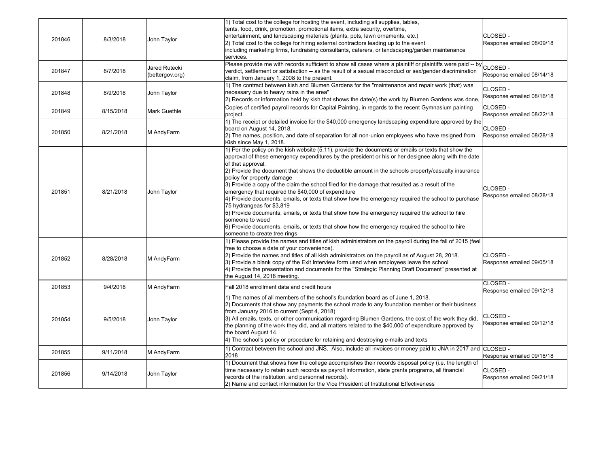| 201846 | 8/3/2018  | John Taylor                      | 1) Total cost to the college for hosting the event, including all supplies, tables,<br>tents, food, drink, promotion, promotional items, extra security, overtime,<br>entertainment, and landscaping materials (plants, pots, lawn ornaments, etc.)<br>[2] Total cost to the college for hiring external contractors leading up to the event<br>including marketing firms, fundraising consultants, caterers, or landscaping/garden maintenance<br>services.                                                                                                                                                                                                                                                                                                                                                                                                                                                                | CLOSED-<br>Response emailed 08/09/18  |
|--------|-----------|----------------------------------|-----------------------------------------------------------------------------------------------------------------------------------------------------------------------------------------------------------------------------------------------------------------------------------------------------------------------------------------------------------------------------------------------------------------------------------------------------------------------------------------------------------------------------------------------------------------------------------------------------------------------------------------------------------------------------------------------------------------------------------------------------------------------------------------------------------------------------------------------------------------------------------------------------------------------------|---------------------------------------|
| 201847 | 8/7/2018  | Jared Rutecki<br>(bettergov.org) | Please provide me with records sufficient to show all cases where a plaintiff or plaintiffs were paid -- by<br>verdict, settlement or satisfaction -- as the result of a sexual misconduct or sex/gender discrimination<br>claim, from January 1, 2008 to the present.                                                                                                                                                                                                                                                                                                                                                                                                                                                                                                                                                                                                                                                      | CLOSED -<br>Response emailed 08/14/18 |
| 201848 | 8/9/2018  | John Taylor                      | 1) The contract between kish and Blumen Gardens for the "maintenance and repair work (that) was<br>necessary due to heavy rains in the area"<br>[2] Records or information held by kish that shows the date(s) the work by Blumen Gardens was done                                                                                                                                                                                                                                                                                                                                                                                                                                                                                                                                                                                                                                                                          | CLOSED -<br>Response emailed 08/16/18 |
| 201849 | 8/15/2018 | <b>Mark Guethle</b>              | Copies of certified payroll records for Capital Painting, in regards to the recent Gymnasium painting<br>project.                                                                                                                                                                                                                                                                                                                                                                                                                                                                                                                                                                                                                                                                                                                                                                                                           | CLOSED -<br>Response emailed 08/22/18 |
| 201850 | 8/21/2018 | M AndyFarm                       | 1) The receipt or detailed invoice for the \$40,000 emergency landscaping expenditure approved by the<br>board on August 14, 2018.<br>(2) The names, position, and date of separation for all non-union employees who have resigned from<br>Kish since May 1, 2018.                                                                                                                                                                                                                                                                                                                                                                                                                                                                                                                                                                                                                                                         | CLOSED -<br>Response emailed 08/28/18 |
| 201851 | 8/21/2018 | John Taylor                      | 1) Per the policy on the kish website (5.11), provide the documents or emails or texts that show the<br>approval of these emergency expenditures by the president or his or her designee along with the date<br>of that approval.<br>2) Provide the document that shows the deductible amount in the schools property/casualty insurance<br>policy for property damage<br>3) Provide a copy of the claim the school filed for the damage that resulted as a result of the<br>emergency that required the \$40,000 of expenditure<br>4) Provide documents, emails, or texts that show how the emergency required the school to purchase<br>75 hydrangeas for \$3,819<br>[5] Provide documents, emails, or texts that show how the emergency required the school to hire<br>someone to weed<br>6) Provide documents, emails, or texts that show how the emergency required the school to hire<br>someone to create tree rings | CLOSED -<br>Response emailed 08/28/18 |
| 201852 | 8/28/2018 | M AndyFarm                       | 1) Please provide the names and titles of kish administrators on the payroll during the fall of 2015 (feel<br>free to choose a date of your convenience).<br>[2] Provide the names and titles of all kish administrators on the payroll as of August 28, 2018.<br>3) Provide a blank copy of the Exit Interview form used when employees leave the school<br>4) Provide the presentation and documents for the "Strategic Planning Draft Document" presented at<br>the August 14, 2018 meeting.                                                                                                                                                                                                                                                                                                                                                                                                                             | CLOSED -<br>Response emailed 09/05/18 |
| 201853 | 9/4/2018  | M AndyFarm                       | Fall 2018 enrollment data and credit hours                                                                                                                                                                                                                                                                                                                                                                                                                                                                                                                                                                                                                                                                                                                                                                                                                                                                                  | CLOSED -<br>Response emailed 09/12/18 |
| 201854 | 9/5/2018  | John Taylor                      | 1) The names of all members of the school's foundation board as of June 1, 2018.<br>2) Documents that show any payments the school made to any foundation member or their business<br>from January 2016 to current (Sept 4, 2018)<br>3) All emails, texts, or other communication regarding Blumen Gardens, the cost of the work they did<br>the planning of the work they did, and all matters related to the \$40,000 of expenditure approved by<br>the board August 14.<br>4) The school's policy or procedure for retaining and destroying e-mails and texts                                                                                                                                                                                                                                                                                                                                                            | CLOSED -<br>Response emailed 09/12/18 |
| 201855 | 9/11/2018 | M AndyFarm                       | 1) Contract between the school and JNS. Also, include all invoices or money paid to JNA in 2017 and CLOSED -<br>2018                                                                                                                                                                                                                                                                                                                                                                                                                                                                                                                                                                                                                                                                                                                                                                                                        | Response emailed 09/18/18             |
| 201856 | 9/14/2018 | John Taylor                      | 1) Document that shows how the college accomplishes their records disposal policy (i.e. the length of<br>time necessary to retain such records as payroll information, state grants programs, all financial<br>records of the institution, and personnel records).<br>2) Name and contact information for the Vice President of Institutional Effectiveness                                                                                                                                                                                                                                                                                                                                                                                                                                                                                                                                                                 | CLOSED -<br>Response emailed 09/21/18 |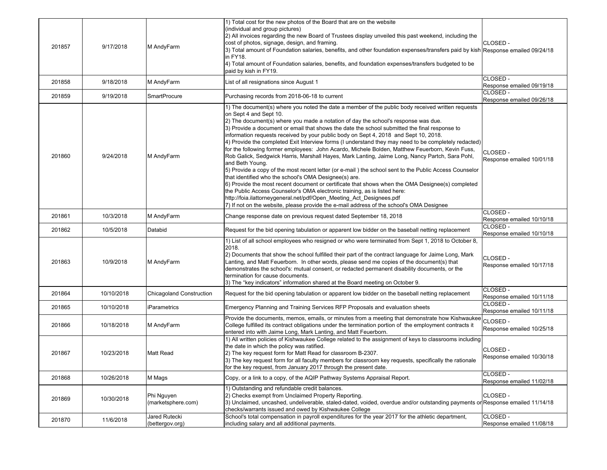| 201857 | 9/17/2018  | M AndyFarm                       | 1) Total cost for the new photos of the Board that are on the website<br>(individual and group pictures)<br>2) All invoices regarding the new Board of Trustees display unveiled this past weekend, including the<br>cost of photos, signage, design, and framing.<br>3) Total amount of Foundation salaries, benefits, and other foundation expenses/transfers paid by kish Response emailed 09/24/18<br>in FY18.<br>4) Total amount of Foundation salaries, benefits, and foundation expenses/transfers budgeted to be<br>paid by kish in FY19.                                                                                                                                                                                                                                                                                                                                                                                                                                                                                                                                                                                                                                                                                                                   | CLOSED -                                           |
|--------|------------|----------------------------------|---------------------------------------------------------------------------------------------------------------------------------------------------------------------------------------------------------------------------------------------------------------------------------------------------------------------------------------------------------------------------------------------------------------------------------------------------------------------------------------------------------------------------------------------------------------------------------------------------------------------------------------------------------------------------------------------------------------------------------------------------------------------------------------------------------------------------------------------------------------------------------------------------------------------------------------------------------------------------------------------------------------------------------------------------------------------------------------------------------------------------------------------------------------------------------------------------------------------------------------------------------------------|----------------------------------------------------|
| 201858 | 9/18/2018  | M AndyFarm                       | List of all resignations since August 1                                                                                                                                                                                                                                                                                                                                                                                                                                                                                                                                                                                                                                                                                                                                                                                                                                                                                                                                                                                                                                                                                                                                                                                                                             | CLOSED -<br>Response emailed 09/19/18              |
| 201859 | 9/19/2018  | <b>SmartProcure</b>              | Purchasing records from 2018-06-18 to current                                                                                                                                                                                                                                                                                                                                                                                                                                                                                                                                                                                                                                                                                                                                                                                                                                                                                                                                                                                                                                                                                                                                                                                                                       | CLOSED -<br>Response emailed 09/26/18              |
| 201860 | 9/24/2018  | M AndyFarm                       | 1) The document(s) where you noted the date a member of the public body received written requests<br>on Sept 4 and Sept 10.<br>2) The document(s) where you made a notation of day the school's response was due.<br>3) Provide a document or email that shows the date the school submitted the final response to<br>information requests received by your public body on Sept 4, 2018 and Sept 10, 2018.<br>4) Provide the completed Exit Interview forms (I understand they may need to be completely redacted)<br>for the following former employees: John Acardo, Michele Bolden, Matthew Feuerborn, Kevin Fuss,<br>Rob Galick, Sedgwick Harris, Marshall Hayes, Mark Lanting, Jaime Long, Nancy Partch, Sara Pohl,<br>and Beth Young.<br>5) Provide a copy of the most recent letter (or e-mail) the school sent to the Public Access Counselor<br>that identified who the school's OMA Designee(s) are.<br>6) Provide the most recent document or certificate that shows when the OMA Designee(s) completed<br>the Public Access Counselor's OMA electronic training, as is listed here:<br>http://foia.ilattorneygeneral.net/pdf/Open_Meeting_Act_Designees.pdf<br>7) If not on the website, please provide the e-mail address of the school's OMA Designee | CLOSED -<br>Response emailed 10/01/18              |
| 201861 | 10/3/2018  | M AndyFarm                       | Change response date on previous request dated September 18, 2018                                                                                                                                                                                                                                                                                                                                                                                                                                                                                                                                                                                                                                                                                                                                                                                                                                                                                                                                                                                                                                                                                                                                                                                                   | CLOSED -<br>Response emailed 10/10/18              |
| 201862 | 10/5/2018  | Databid                          | Request for the bid opening tabulation or apparent low bidder on the baseball netting replacement                                                                                                                                                                                                                                                                                                                                                                                                                                                                                                                                                                                                                                                                                                                                                                                                                                                                                                                                                                                                                                                                                                                                                                   | CLOSED -<br>Response emailed 10/10/18              |
| 201863 | 10/9/2018  | M AndyFarm                       | 1) List of all school employees who resigned or who were terminated from Sept 1, 2018 to October 8,<br>2018.<br>2) Documents that show the school fulfilled their part of the contract language for Jaime Long, Mark<br>Lanting, and Matt Feuerborn. In other words, please send me copies of the document(s) that<br>demonstrates the school's: mutual consent, or redacted permanent disability documents, or the<br>termination for cause documents.<br>3) The "key indicators" information shared at the Board meeting on October 9.                                                                                                                                                                                                                                                                                                                                                                                                                                                                                                                                                                                                                                                                                                                            | CLOSED -<br>Response emailed 10/17/18              |
| 201864 | 10/10/2018 | <b>Chicagoland Construction</b>  | Request for the bid opening tabulation or apparent low bidder on the baseball netting replacement                                                                                                                                                                                                                                                                                                                                                                                                                                                                                                                                                                                                                                                                                                                                                                                                                                                                                                                                                                                                                                                                                                                                                                   | CLOSED -<br>Response emailed 10/11/18              |
| 201865 | 10/10/2018 | iParametrics                     | Emergency Planning and Training Services RFP Proposals and evaluation sheets                                                                                                                                                                                                                                                                                                                                                                                                                                                                                                                                                                                                                                                                                                                                                                                                                                                                                                                                                                                                                                                                                                                                                                                        | CLOSED -<br>Response emailed 10/11/18              |
| 201866 | 10/18/2018 | M AndyFarm                       | Provide the documents, memos, emails, or minutes from a meeting that demonstrate how Kishwaukee<br>College fulfilled its contract obligations under the termination portion of the employment contracts it<br>entered into with Jaime Long, Mark Lanting, and Matt Feuerborn.                                                                                                                                                                                                                                                                                                                                                                                                                                                                                                                                                                                                                                                                                                                                                                                                                                                                                                                                                                                       | <sup>e</sup> CLOSED -<br>Response emailed 10/25/18 |
| 201867 | 10/23/2018 | <b>Matt Read</b>                 | 1) All written policies of Kishwaukee College related to the assignment of keys to classrooms including<br>the date in which the policy was ratified.<br>2) The key request form for Matt Read for classroom B-2307.<br>3) The key request form for all faculty members for classroom key requests, specifically the rationale<br>for the key request, from January 2017 through the present date.                                                                                                                                                                                                                                                                                                                                                                                                                                                                                                                                                                                                                                                                                                                                                                                                                                                                  | CLOSED -<br>Response emailed 10/30/18              |
| 201868 | 10/26/2018 | M Mags                           | Copy, or a link to a copy, of the AQIP Pathway Systems Appraisal Report.                                                                                                                                                                                                                                                                                                                                                                                                                                                                                                                                                                                                                                                                                                                                                                                                                                                                                                                                                                                                                                                                                                                                                                                            | CLOSED -<br>Response emailed 11/02/18              |
| 201869 | 10/30/2018 | Phi Nguyen<br>(marketsphere.com) | 1) Outstanding and refundable credit balances.<br>2) Checks exempt from Unclaimed Property Reporting.<br>3) Unclaimed, uncashed, undeliverable, staled-dated, voided, overdue and/or outstanding payments or Response emailed 11/14/18<br>checks/warrants issued and owed by Kishwaukee College                                                                                                                                                                                                                                                                                                                                                                                                                                                                                                                                                                                                                                                                                                                                                                                                                                                                                                                                                                     | CLOSED -                                           |
| 201870 | 11/6/2018  | Jared Rutecki<br>(bettergov.org) | School's total compensation in payroll expenditures for the year 2017 for the athletic department,<br>including salary and all additional payments.                                                                                                                                                                                                                                                                                                                                                                                                                                                                                                                                                                                                                                                                                                                                                                                                                                                                                                                                                                                                                                                                                                                 | CLOSED -<br>Response emailed 11/08/18              |
|        |            |                                  |                                                                                                                                                                                                                                                                                                                                                                                                                                                                                                                                                                                                                                                                                                                                                                                                                                                                                                                                                                                                                                                                                                                                                                                                                                                                     |                                                    |